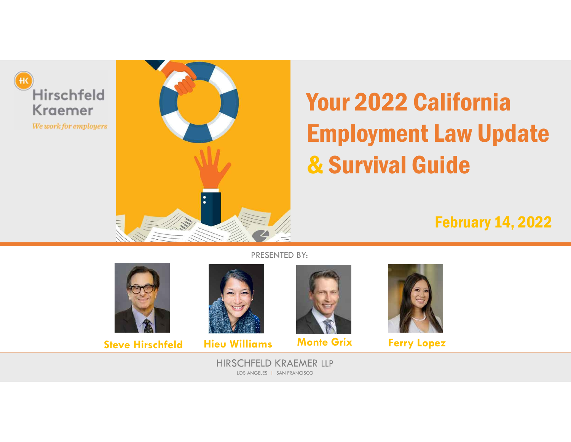



# Your 2022 California Employment Law Update & Survival Guide

February 14, 2022



**Steve Hirschfeld Hieu Williams Monte Grix Ferry Lopez** 





HIRSCHFELD KRAEMER LLP LOS ANGELES | SAN FRANCISCO

PRESENTED BY: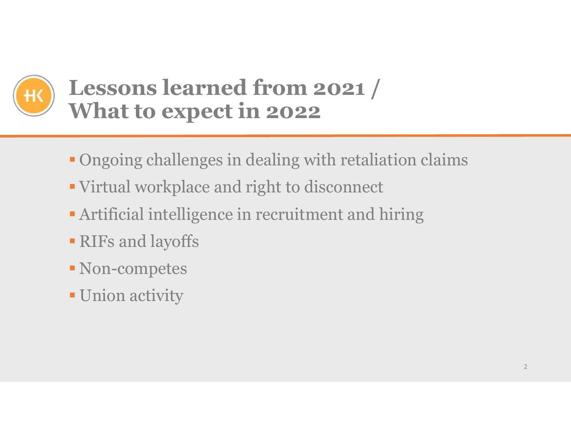

## **Lessons learned from 2021 / What to expect in 2022**

- Ongoing challenges in dealing with retaliation claims
- Virtual workplace and right to disconnect
- **Artificial intelligence in recruitment and hiring**
- RIFs and layoffs
- Non-competes
- **Union activity**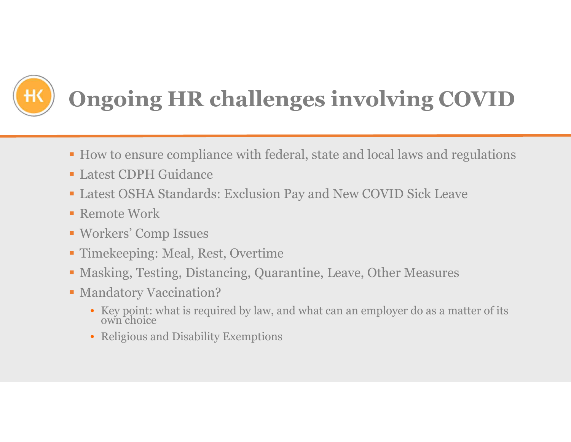

## **Ongoing HR challenges involving COVID**

- How to ensure compliance with federal, state and local laws and regulations
- Latest CDPH Guidance
- Latest OSHA Standards: Exclusion Pay and New COVID Sick Leave
- **Remote Work**
- Workers' Comp Issues
- Timekeeping: Meal, Rest, Overtime
- Masking, Testing, Distancing, Quarantine, Leave, Other Measures
- **Mandatory Vaccination?** 
	- Key point: what is required by law, and what can an employer do as a matter of its own choice
	- Religious and Disability Exemptions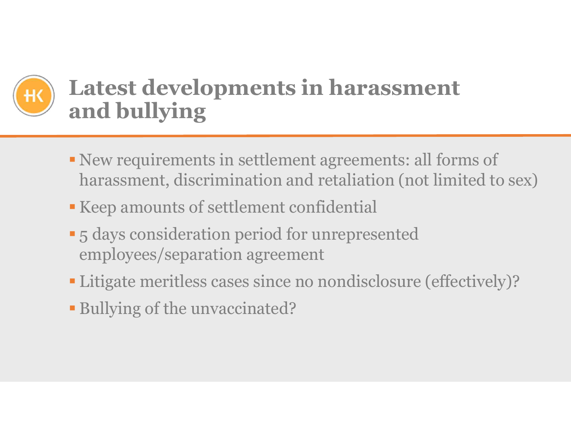## **Latest developments in harassment and bullying**

- New requirements in settlement agreements: all forms of harassment, discrimination and retaliation (not limited to sex)
- Keep amounts of settlement confidential
- **-5 days consideration period for unrepresented** employees/separation agreement
- Litigate meritless cases since no nondisclosure (effectively)?
- Bullying of the unvaccinated?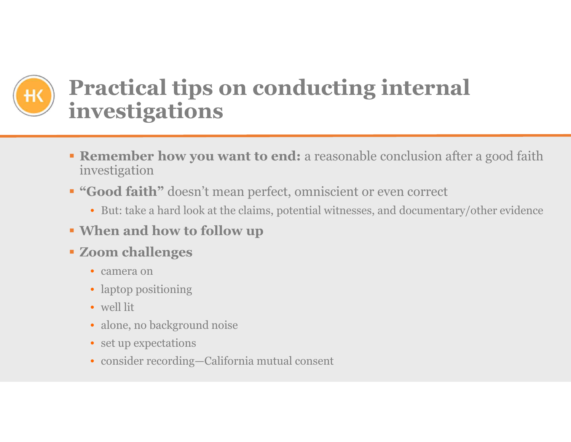## **Practical tips on conducting internal investigations**

- **Remember how you want to end:** a reasonable conclusion after a good faith investigation
- **"Good faith"** doesn't mean perfect, omniscient or even correct
	- But: take a hard look at the claims, potential witnesses, and documentary/other evidence
- **When and how to follow up**
- **Zoom challenges**
	- camera on
	- laptop positioning
	- well lit
	- alone, no background noise
	- set up expectations
	- consider recording—California mutual consent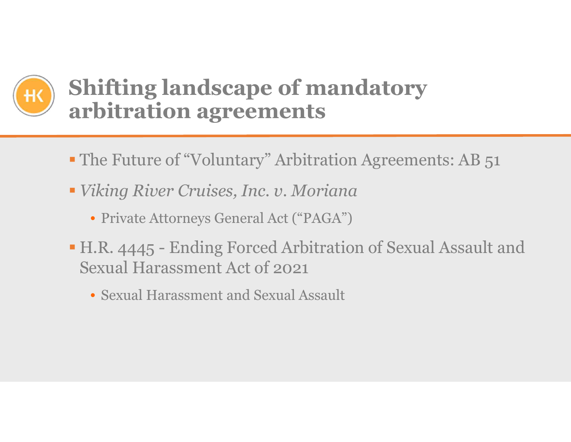

## **Shifting landscape of mandatory arbitration agreements**

- The Future of "Voluntary" Arbitration Agreements: AB 51
- *Viking River Cruises, Inc. v. Moriana*
	- Private Attorneys General Act ("PAGA")
- H.R. 4445 Ending Forced Arbitration of Sexual Assault and Sexual Harassment Act of 2021
	- Sexual Harassment and Sexual Assault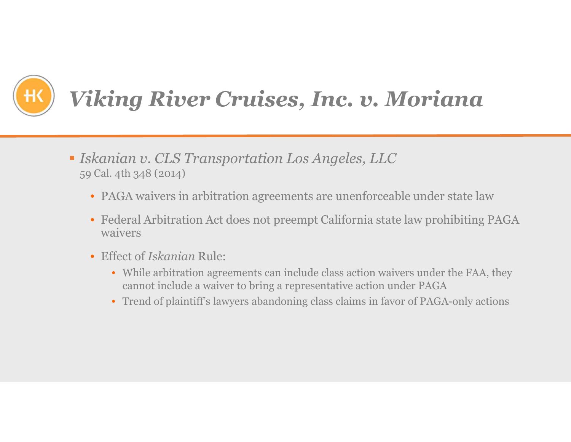

## *Viking River Cruises, Inc. v. Moriana*

- *Iskanian v. CLS Transportation Los Angeles, LLC* 59 Cal. 4th 348 (2014)
	- PAGA waivers in arbitration agreements are unenforceable under state law
	- Federal Arbitration Act does not preempt California state law prohibiting PAGA waivers
	- Effect of *Iskanian* Rule:
		- While arbitration agreements can include class action waivers under the FAA, they cannot include a waiver to bring a representative action under PAGA
		- Trend of plaintiff's lawyers abandoning class claims in favor of PAGA-only actions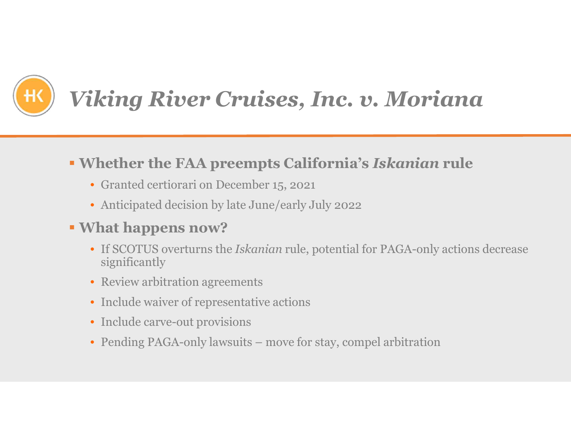

## *Viking River Cruises, Inc. v. Moriana*

#### **Whether the FAA preempts California's** *Iskanian* **rule**

- Granted certiorari on December 15, 2021
- Anticipated decision by late June/early July 2022

#### **What happens now?**

- If SCOTUS overturns the *Iskanian* rule, potential for PAGA-only actions decrease significantly
- Review arbitration agreements
- Include waiver of representative actions
- Include carve-out provisions
- Pending PAGA-only lawsuits move for stay, compel arbitration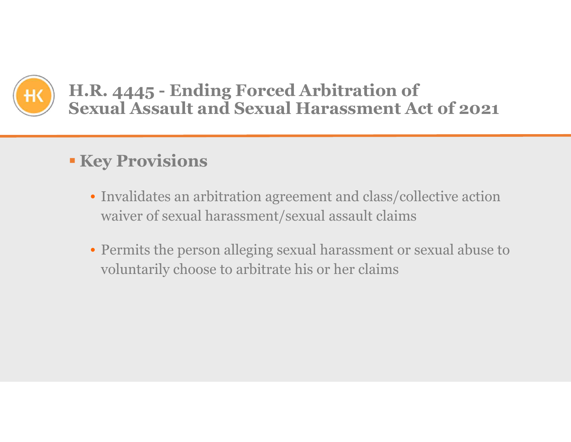

#### **H.R. 4445 - Ending Forced Arbitration of Sexual Assault and Sexual Harassment Act of 2021**

### **Key Provisions**

- Invalidates an arbitration agreement and class/collective action waiver of sexual harassment/sexual assault claims
- Permits the person alleging sexual harassment or sexual abuse to voluntarily choose to arbitrate his or her claims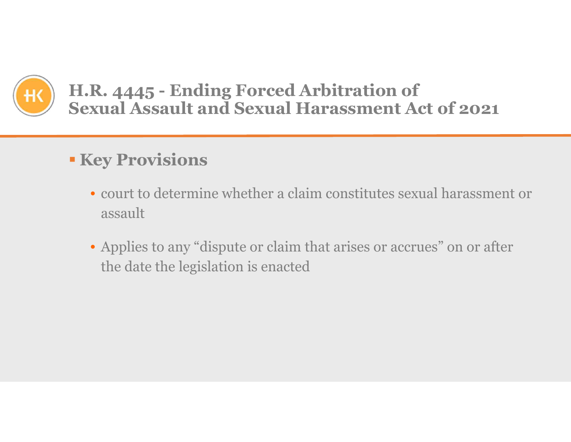

#### **H.R. 4445 - Ending Forced Arbitration of Sexual Assault and Sexual Harassment Act of 2021**

#### **Key Provisions**

- court to determine whether a claim constitutes sexual harassment or assault
- Applies to any "dispute or claim that arises or accrues" on or after the date the legislation is enacted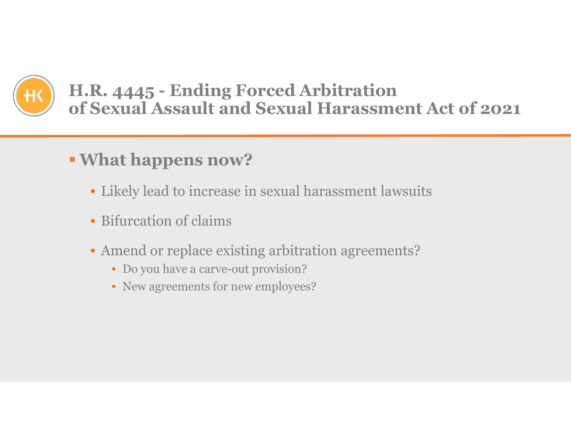

#### **H.R. 4445 - Ending Forced Arbitration of Sexual Assault and Sexual Harassment Act of 2021**

### **What happens now?**

- Likely lead to increase in sexual harassment lawsuits
- Bifurcation of claims
- Amend or replace existing arbitration agreements?
	- Do you have a carve-out provision?
	- New agreements for new employees?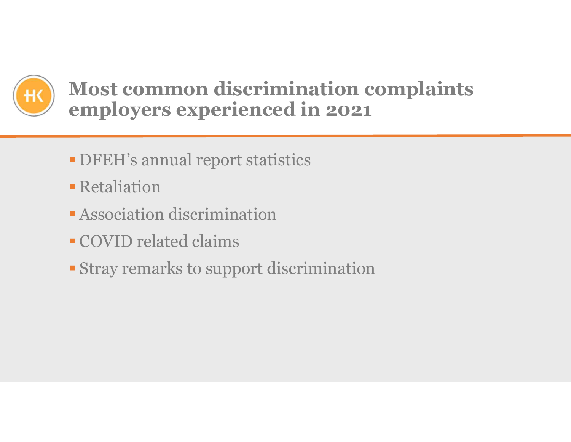

## **Most common discrimination complaints employers experienced in 2021**

- DFEH's annual report statistics
- **Retaliation**
- Association discrimination
- COVID related claims
- Stray remarks to support discrimination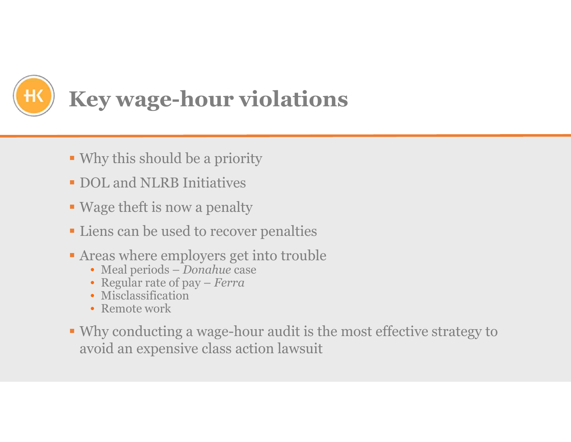

- Why this should be a priority
- **DOL** and **NLRB** Initiatives
- Wage theft is now a penalty
- **-Liens can be used to recover penalties**
- Areas where employers get into trouble
	- Meal periods *Donahue* case
	- Regular rate of pay *Ferra*
	- Misclassification
	- Remote work
- Why conducting a wage-hour audit is the most effective strategy to avoid an expensive class action lawsuit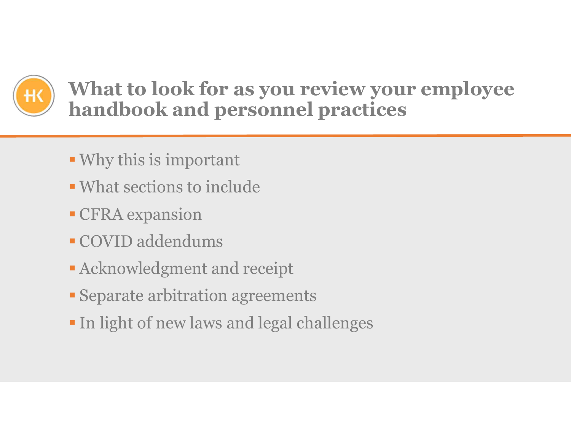

**What to look for as you review your employee handbook and personnel practices** 

- Why this is important
- What sections to include
- CFRA expansion
- COVID addendums
- Acknowledgment and receipt
- Separate arbitration agreements
- In light of new laws and legal challenges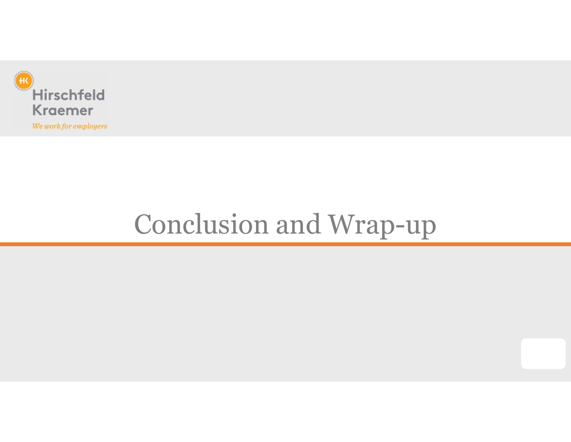

## Conclusion and Wrap-up